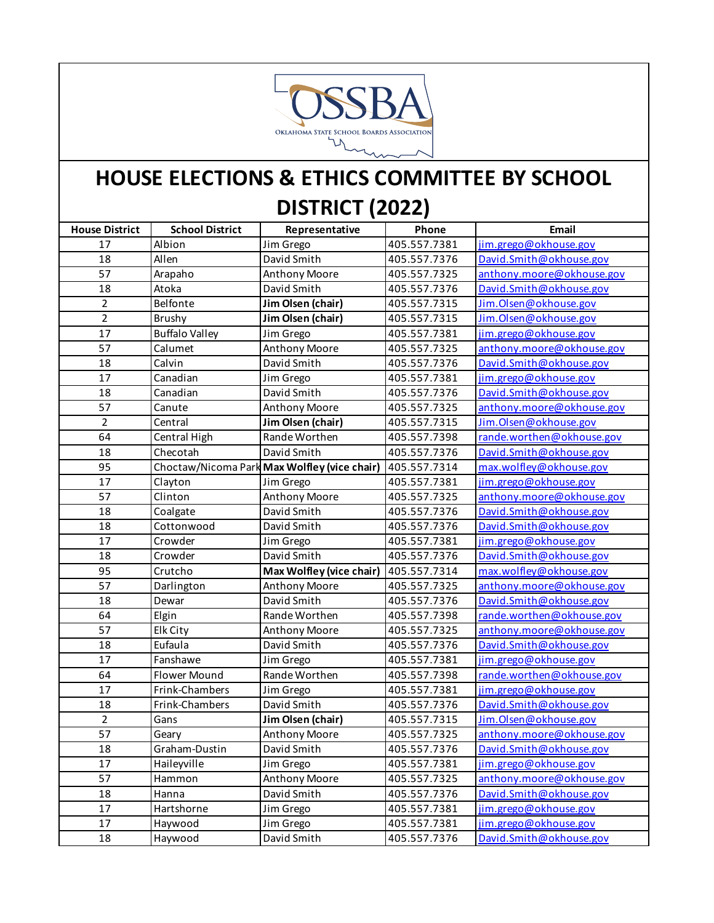

## **HOUSE ELECTIONS & ETHICS COMMITTEE BY SCHOOL DISTRICT (2022)**

| <b>House District</b> | <b>School District</b> | Representative                               | Phone        | Email                     |
|-----------------------|------------------------|----------------------------------------------|--------------|---------------------------|
| 17                    | Albion                 | Jim Grego                                    | 405.557.7381 | jim.grego@okhouse.gov     |
| 18                    | Allen                  | David Smith                                  | 405.557.7376 | David.Smith@okhouse.gov   |
| 57                    | Arapaho                | Anthony Moore                                | 405.557.7325 | anthony.moore@okhouse.gov |
| 18                    | Atoka                  | David Smith                                  | 405.557.7376 | David.Smith@okhouse.gov   |
| $\overline{2}$        | Belfonte               | Jim Olsen (chair)                            | 405.557.7315 | Jim.Olsen@okhouse.gov     |
| $\overline{2}$        | Brushy                 | Jim Olsen (chair)                            | 405.557.7315 | Jim.Olsen@okhouse.gov     |
| 17                    | <b>Buffalo Valley</b>  | Jim Grego                                    | 405.557.7381 | jim.grego@okhouse.gov     |
| 57                    | Calumet                | Anthony Moore                                | 405.557.7325 | anthony.moore@okhouse.gov |
| 18                    | Calvin                 | David Smith                                  | 405.557.7376 | David.Smith@okhouse.gov   |
| 17                    | Canadian               | Jim Grego                                    | 405.557.7381 | jim.grego@okhouse.gov     |
| 18                    | Canadian               | David Smith                                  | 405.557.7376 | David.Smith@okhouse.gov   |
| 57                    | Canute                 | Anthony Moore                                | 405.557.7325 | anthony.moore@okhouse.gov |
| $\overline{2}$        | Central                | Jim Olsen (chair)                            | 405.557.7315 | Jim.Olsen@okhouse.gov     |
| 64                    | Central High           | Rande Worthen                                | 405.557.7398 | rande.worthen@okhouse.gov |
| 18                    | Checotah               | David Smith                                  | 405.557.7376 | David.Smith@okhouse.gov   |
| 95                    |                        | Choctaw/Nicoma Park Max Wolfley (vice chair) | 405.557.7314 | max.wolfley@okhouse.gov   |
| 17                    | Clayton                | Jim Grego                                    | 405.557.7381 | jim.grego@okhouse.gov     |
| 57                    | Clinton                | Anthony Moore                                | 405.557.7325 | anthony.moore@okhouse.gov |
| 18                    | Coalgate               | David Smith                                  | 405.557.7376 | David.Smith@okhouse.gov   |
| 18                    | Cottonwood             | David Smith                                  | 405.557.7376 | David.Smith@okhouse.gov   |
| 17                    | Crowder                | Jim Grego                                    | 405.557.7381 | jim.grego@okhouse.gov     |
| 18                    | Crowder                | David Smith                                  | 405.557.7376 | David.Smith@okhouse.gov   |
| 95                    | Crutcho                | Max Wolfley (vice chair)                     | 405.557.7314 | max.wolfley@okhouse.gov   |
| 57                    | Darlington             | Anthony Moore                                | 405.557.7325 | anthony.moore@okhouse.gov |
| 18                    | Dewar                  | David Smith                                  | 405.557.7376 | David.Smith@okhouse.gov   |
| 64                    | Elgin                  | Rande Worthen                                | 405.557.7398 | rande.worthen@okhouse.gov |
| 57                    | Elk City               | <b>Anthony Moore</b>                         | 405.557.7325 | anthony.moore@okhouse.gov |
| 18                    | Eufaula                | David Smith                                  | 405.557.7376 | David.Smith@okhouse.gov   |
| 17                    | Fanshawe               | Jim Grego                                    | 405.557.7381 | jim.grego@okhouse.gov     |
| 64                    | Flower Mound           | Rande Worthen                                | 405.557.7398 | rande.worthen@okhouse.gov |
| 17                    | Frink-Chambers         | Jim Grego                                    | 405.557.7381 | jim.grego@okhouse.gov     |
| 18                    | Frink-Chambers         | David Smith                                  | 405.557.7376 | David.Smith@okhouse.gov   |
| $\overline{2}$        | Gans                   | Jim Olsen (chair)                            | 405.557.7315 | Jim.Olsen@okhouse.gov     |
| 57                    | Geary                  | <b>Anthony Moore</b>                         | 405.557.7325 | anthony.moore@okhouse.gov |
| 18                    | Graham-Dustin          | David Smith                                  | 405.557.7376 | David.Smith@okhouse.gov   |
| 17                    | Haileyville            | Jim Grego                                    | 405.557.7381 | jim.grego@okhouse.gov     |
| 57                    | Hammon                 | Anthony Moore                                | 405.557.7325 | anthony.moore@okhouse.gov |
| 18                    | Hanna                  | David Smith                                  | 405.557.7376 | David.Smith@okhouse.gov   |
| 17                    | Hartshorne             | Jim Grego                                    | 405.557.7381 | jim.grego@okhouse.gov     |
| 17                    | Haywood                | Jim Grego                                    | 405.557.7381 | jim.grego@okhouse.gov     |
| 18                    | Haywood                | David Smith                                  | 405.557.7376 | David.Smith@okhouse.gov   |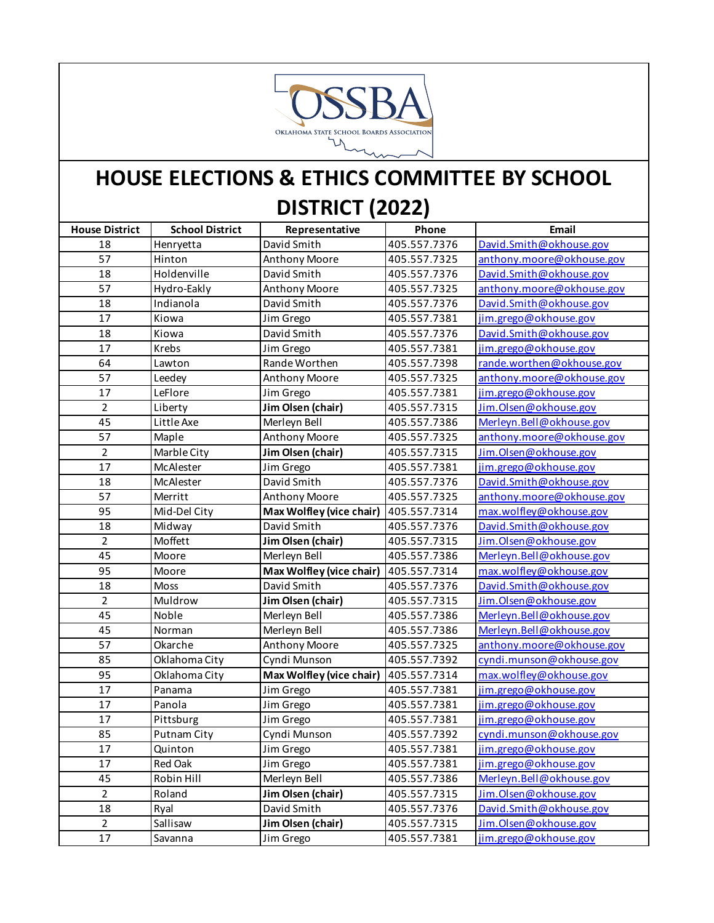

## **HOUSE ELECTIONS & ETHICS COMMITTEE BY SCHOOL DISTRICT (2022)**

| <b>House District</b> | <b>School District</b> | Representative           | Phone        | Email                     |
|-----------------------|------------------------|--------------------------|--------------|---------------------------|
| 18                    | Henryetta              | David Smith              | 405.557.7376 | David.Smith@okhouse.gov   |
| 57                    | Hinton                 | Anthony Moore            | 405.557.7325 | anthony.moore@okhouse.gov |
| 18                    | Holdenville            | David Smith              | 405.557.7376 | David.Smith@okhouse.gov   |
| 57                    | Hydro-Eakly            | Anthony Moore            | 405.557.7325 | anthony.moore@okhouse.gov |
| 18                    | Indianola              | David Smith              | 405.557.7376 | David.Smith@okhouse.gov   |
| 17                    | Kiowa                  | Jim Grego                | 405.557.7381 | jim.grego@okhouse.gov     |
| 18                    | Kiowa                  | David Smith              | 405.557.7376 | David.Smith@okhouse.gov   |
| 17                    | Krebs                  | Jim Grego                | 405.557.7381 | jim.grego@okhouse.gov     |
| 64                    | Lawton                 | Rande Worthen            | 405.557.7398 | rande.worthen@okhouse.gov |
| 57                    | Leedey                 | Anthony Moore            | 405.557.7325 | anthony.moore@okhouse.gov |
| 17                    | LeFlore                | Jim Grego                | 405.557.7381 | jim.grego@okhouse.gov     |
| $\overline{2}$        | Liberty                | Jim Olsen (chair)        | 405.557.7315 | Jim.Olsen@okhouse.gov     |
| 45                    | Little Axe             | Merleyn Bell             | 405.557.7386 | Merleyn. Bell@okhouse.gov |
| 57                    | Maple                  | Anthony Moore            | 405.557.7325 | anthony.moore@okhouse.gov |
| $\overline{2}$        | Marble City            | Jim Olsen (chair)        | 405.557.7315 | Jim.Olsen@okhouse.gov     |
| 17                    | McAlester              | Jim Grego                | 405.557.7381 | jim.grego@okhouse.gov     |
| 18                    | McAlester              | David Smith              | 405.557.7376 | David.Smith@okhouse.gov   |
| 57                    | Merritt                | Anthony Moore            | 405.557.7325 | anthony.moore@okhouse.gov |
| 95                    | Mid-Del City           | Max Wolfley (vice chair) | 405.557.7314 | max.wolfley@okhouse.gov   |
| 18                    | Midway                 | David Smith              | 405.557.7376 | David.Smith@okhouse.gov   |
| $\overline{2}$        | Moffett                | Jim Olsen (chair)        | 405.557.7315 | Jim.Olsen@okhouse.gov     |
| 45                    | Moore                  | Merleyn Bell             | 405.557.7386 | Merleyn. Bell@okhouse.gov |
| 95                    | Moore                  | Max Wolfley (vice chair) | 405.557.7314 | max.wolfley@okhouse.gov   |
| 18                    | Moss                   | David Smith              | 405.557.7376 | David.Smith@okhouse.gov   |
| $\overline{2}$        | Muldrow                | Jim Olsen (chair)        | 405.557.7315 | Jim.Olsen@okhouse.gov     |
| 45                    | Noble                  | Merleyn Bell             | 405.557.7386 | Merleyn. Bell@okhouse.gov |
| 45                    | Norman                 | Merleyn Bell             | 405.557.7386 | Merleyn. Bell@okhouse.gov |
| 57                    | Okarche                | Anthony Moore            | 405.557.7325 | anthony.moore@okhouse.gov |
| 85                    | Oklahoma City          | Cyndi Munson             | 405.557.7392 | cyndi.munson@okhouse.gov  |
| 95                    | Oklahoma City          | Max Wolfley (vice chair) | 405.557.7314 | max.wolfley@okhouse.gov   |
| 17                    | Panama                 | Jim Grego                | 405.557.7381 | jim.grego@okhouse.gov     |
| 17                    | Panola                 | Jim Grego                | 405.557.7381 | jim.grego@okhouse.gov     |
| 17                    | Pittsburg              | Jim Grego                | 405.557.7381 | jim.grego@okhouse.gov     |
| 85                    | <b>Putnam City</b>     | Cyndi Munson             | 405.557.7392 | cyndi.munson@okhouse.gov  |
| 17                    | Quinton                | Jim Grego                | 405.557.7381 | jim.grego@okhouse.gov     |
| 17                    | Red Oak                | Jim Grego                | 405.557.7381 | jim.grego@okhouse.gov     |
| 45                    | Robin Hill             | Merleyn Bell             | 405.557.7386 | Merleyn.Bell@okhouse.gov  |
| $\overline{2}$        | Roland                 | Jim Olsen (chair)        | 405.557.7315 | Jim.Olsen@okhouse.gov     |
| 18                    | Ryal                   | David Smith              | 405.557.7376 | David.Smith@okhouse.gov   |
| $\overline{2}$        | Sallisaw               | Jim Olsen (chair)        | 405.557.7315 | Jim.Olsen@okhouse.gov     |
| 17                    | Savanna                | Jim Grego                | 405.557.7381 | jim.grego@okhouse.gov     |